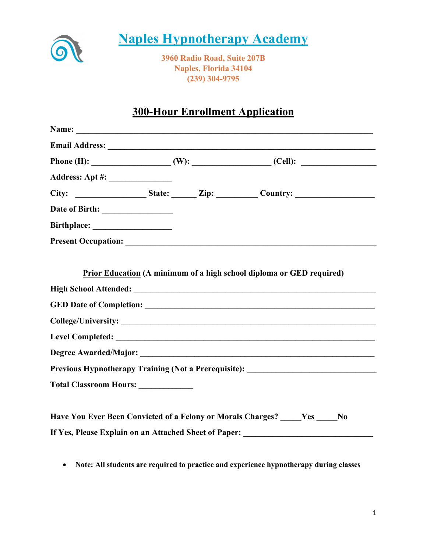

# **Naples Hypnotherapy Academy**

**3960 Radio Road, Suite 207B Naples, Florida 34104 (239) 304-9795**

## **300-Hour Enrollment Application**

|                                    | Previous Hypnotherapy Training (Not a Prerequisite): ___________________________ |
|------------------------------------|----------------------------------------------------------------------------------|
| Total Classroom Hours: ___________ |                                                                                  |
|                                    | Have You Ever Been Convicted of a Felony or Morals Charges? Yes No               |
|                                    | If Yes, Please Explain on an Attached Sheet of Paper: __________________________ |

• **Note: All students are required to practice and experience hypnotherapy during classes**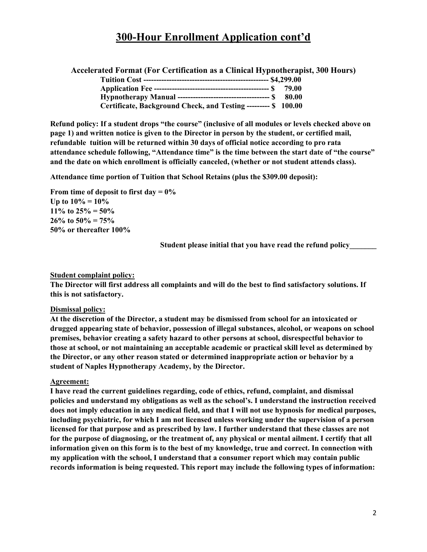## **300-Hour Enrollment Application cont'd**

**Accelerated Format (For Certification as a Clinical Hypnotherapist, 300 Hours)**

| Certificate, Background Check, and Testing --------- \$ 100.00 |  |
|----------------------------------------------------------------|--|

**Refund policy: If a student drops "the course" (inclusive of all modules or levels checked above on page 1) and written notice is given to the Director in person by the student, or certified mail, refundable tuition will be returned within 30 days of official notice according to pro rata attendance schedule following, "Attendance time" is the time between the start date of "the course" and the date on which enrollment is officially canceled, (whether or not student attends class).**

**Attendance time portion of Tuition that School Retains (plus the \$309.00 deposit):**

**From time of deposit to first day = 0% Up to 10% = 10% 11% to 25% = 50% 26% to 50% = 75% 50% or thereafter 100%** 

**Student please initial that you have read the refund policy\_\_\_\_\_\_\_**

#### **Student complaint policy:**

**The Director will first address all complaints and will do the best to find satisfactory solutions. If this is not satisfactory.**

#### **Dismissal policy:**

**At the discretion of the Director, a student may be dismissed from school for an intoxicated or drugged appearing state of behavior, possession of illegal substances, alcohol, or weapons on school premises, behavior creating a safety hazard to other persons at school, disrespectful behavior to those at school, or not maintaining an acceptable academic or practical skill level as determined by the Director, or any other reason stated or determined inappropriate action or behavior by a student of Naples Hypnotherapy Academy, by the Director.**

#### **Agreement:**

**I have read the current guidelines regarding, code of ethics, refund, complaint, and dismissal policies and understand my obligations as well as the school's. I understand the instruction received does not imply education in any medical field, and that I will not use hypnosis for medical purposes, including psychiatric, for which I am not licensed unless working under the supervision of a person licensed for that purpose and as prescribed by law. I further understand that these classes are not for the purpose of diagnosing, or the treatment of, any physical or mental ailment. I certify that all information given on this form is to the best of my knowledge, true and correct. In connection with my application with the school, I understand that a consumer report which may contain public records information is being requested. This report may include the following types of information:**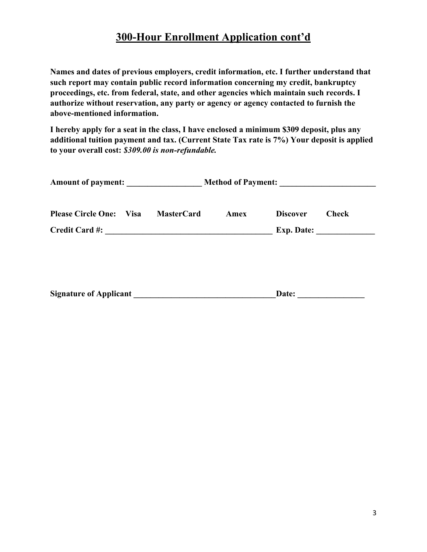## **300-Hour Enrollment Application cont'd**

**Names and dates of previous employers, credit information, etc. I further understand that such report may contain public record information concerning my credit, bankruptcy proceedings, etc. from federal, state, and other agencies which maintain such records. I authorize without reservation, any party or agency or agency contacted to furnish the above-mentioned information.**

**I hereby apply for a seat in the class, I have enclosed a minimum \$309 deposit, plus any additional tuition payment and tax. (Current State Tax rate is 7%) Your deposit is applied to your overall cost:** *\$309.00 is non-refundable.*

| <b>Please Circle One: Visa</b> | <b>MasterCard</b> | Amex | <b>Discover</b> | <b>Check</b> |  |
|--------------------------------|-------------------|------|-----------------|--------------|--|
|                                |                   |      |                 | Exp. Date:   |  |
| <b>Signature of Applicant</b>  |                   |      | Date:           |              |  |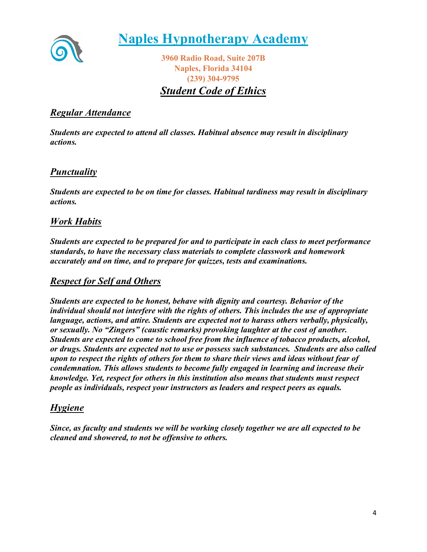

**Naples Hypnotherapy Academy**

**3960 Radio Road, Suite 207B Naples, Florida 34104 (239) 304-9795**

*Student Code of Ethics*

### *Regular Attendance*

*Students are expected to attend all classes. Habitual absence may result in disciplinary actions.*

### *Punctuality*

*Students are expected to be on time for classes. Habitual tardiness may result in disciplinary actions.*

### *Work Habits*

*Students are expected to be prepared for and to participate in each class to meet performance standards, to have the necessary class materials to complete classwork and homework accurately and on time, and to prepare for quizzes, tests and examinations.*

### *Respect for Self and Others*

*Students are expected to be honest, behave with dignity and courtesy. Behavior of the individual should not interfere with the rights of others. This includes the use of appropriate language, actions, and attire. Students are expected not to harass others verbally, physically, or sexually. No "Zingers" (caustic remarks) provoking laughter at the cost of another. Students are expected to come to school free from the influence of tobacco products, alcohol, or drugs. Students are expected not to use or possess such substances. Students are also called upon to respect the rights of others for them to share their views and ideas without fear of condemnation. This allows students to become fully engaged in learning and increase their knowledge. Yet, respect for others in this institution also means that students must respect people as individuals, respect your instructors as leaders and respect peers as equals.*

#### *Hygiene*

*Since, as faculty and students we will be working closely together we are all expected to be cleaned and showered, to not be offensive to others.*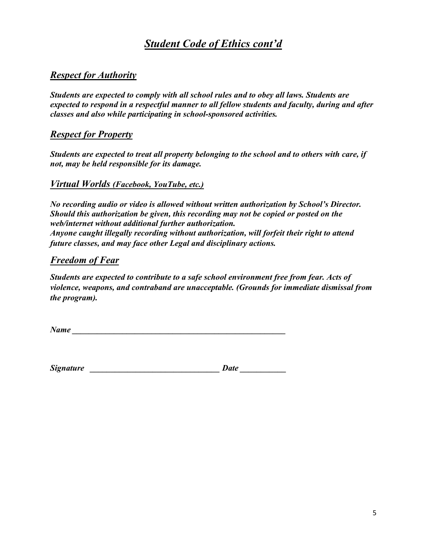## *Student Code of Ethics cont'd*

### *Respect for Authority*

*Students are expected to comply with all school rules and to obey all laws. Students are expected to respond in a respectful manner to all fellow students and faculty, during and after classes and also while participating in school-sponsored activities.*

### *Respect for Property*

*Students are expected to treat all property belonging to the school and to others with care, if not, may be held responsible for its damage.*

#### *Virtual Worlds (Facebook, YouTube, etc.)*

*No recording audio or video is allowed without written authorization by School's Director. Should this authorization be given, this recording may not be copied or posted on the web/internet without additional further authorization. Anyone caught illegally recording without authorization, will forfeit their right to attend future classes, and may face other Legal and disciplinary actions.*

### *Freedom of Fear*

*Students are expected to contribute to a safe school environment free from fear. Acts of violence, weapons, and contraband are unacceptable. (Grounds for immediate dismissal from the program).*

*Name* 

 $Signature$  and  $Date$  and  $Date$  and  $Date$  and  $Date$  and  $Date$  and  $Date$  and  $Date$  and  $Date$  and  $Date$  and  $Date$  and  $Date$  and  $Date$  and  $Date$  and  $Date$  and  $Date$  and  $Date$  and  $Date$  and  $Date$  and  $Date$  and  $Date$  and  $Date$  and  $Date$  and  $Date$  and  $Date$  and  $Date$  and  $Date$  and  $Date$  a